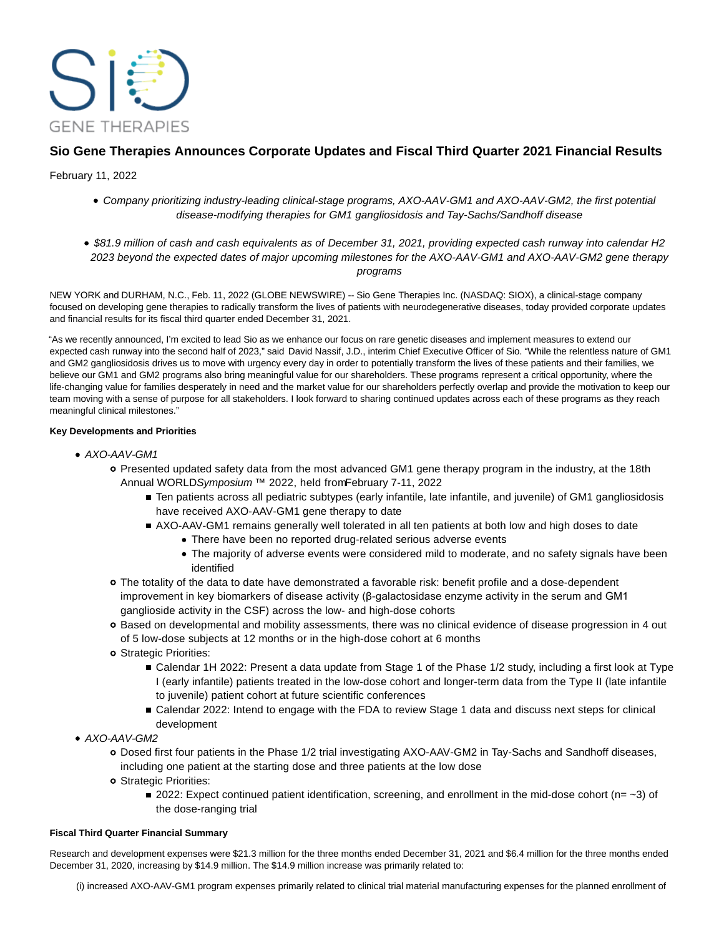

# **Sio Gene Therapies Announces Corporate Updates and Fiscal Third Quarter 2021 Financial Results**

February 11, 2022

- Company prioritizing industry-leading clinical-stage programs, AXO-AAV-GM1 and AXO-AAV-GM2, the first potential disease-modifying therapies for GM1 gangliosidosis and Tay-Sachs/Sandhoff disease
- \$81.9 million of cash and cash equivalents as of December 31, 2021, providing expected cash runway into calendar H2 2023 beyond the expected dates of major upcoming milestones for the AXO-AAV-GM1 and AXO-AAV-GM2 gene therapy programs

NEW YORK and DURHAM, N.C., Feb. 11, 2022 (GLOBE NEWSWIRE) -- Sio Gene Therapies Inc. (NASDAQ: SIOX), a clinical-stage company focused on developing gene therapies to radically transform the lives of patients with neurodegenerative diseases, today provided corporate updates and financial results for its fiscal third quarter ended December 31, 2021.

"As we recently announced, I'm excited to lead Sio as we enhance our focus on rare genetic diseases and implement measures to extend our expected cash runway into the second half of 2023," said David Nassif, J.D., interim Chief Executive Officer of Sio. "While the relentless nature of GM1 and GM2 gangliosidosis drives us to move with urgency every day in order to potentially transform the lives of these patients and their families, we believe our GM1 and GM2 programs also bring meaningful value for our shareholders. These programs represent a critical opportunity, where the life-changing value for families desperately in need and the market value for our shareholders perfectly overlap and provide the motivation to keep our team moving with a sense of purpose for all stakeholders. I look forward to sharing continued updates across each of these programs as they reach meaningful clinical milestones."

## **Key Developments and Priorities**

- AXO-AAV-GM1
	- Presented updated safety data from the most advanced GM1 gene therapy program in the industry, at the 18th Annual WORLDSymposium ™ 2022, held from February 7-11, 2022
		- Ten patients across all pediatric subtypes (early infantile, late infantile, and juvenile) of GM1 gangliosidosis have received AXO-AAV-GM1 gene therapy to date
		- AXO-AAV-GM1 remains generally well tolerated in all ten patients at both low and high doses to date
			- There have been no reported drug-related serious adverse events
			- The majority of adverse events were considered mild to moderate, and no safety signals have been identified
	- The totality of the data to date have demonstrated a favorable risk: benefit profile and a dose-dependent improvement in key biomarkers of disease activity (β-galactosidase enzyme activity in the serum and GM1 ganglioside activity in the CSF) across the low- and high-dose cohorts
	- Based on developmental and mobility assessments, there was no clinical evidence of disease progression in 4 out of 5 low-dose subjects at 12 months or in the high-dose cohort at 6 months
	- Strategic Priorities:
		- Calendar 1H 2022: Present a data update from Stage 1 of the Phase 1/2 study, including a first look at Type I (early infantile) patients treated in the low-dose cohort and longer-term data from the Type II (late infantile to juvenile) patient cohort at future scientific conferences
		- Calendar 2022: Intend to engage with the FDA to review Stage 1 data and discuss next steps for clinical development
- AXO-AAV-GM2
	- Dosed first four patients in the Phase 1/2 trial investigating AXO-AAV-GM2 in Tay-Sachs and Sandhoff diseases, including one patient at the starting dose and three patients at the low dose
	- o Strategic Priorities:
		- 2022: Expect continued patient identification, screening, and enrollment in the mid-dose cohort (n=  $-3$ ) of the dose-ranging trial

## **Fiscal Third Quarter Financial Summary**

Research and development expenses were \$21.3 million for the three months ended December 31, 2021 and \$6.4 million for the three months ended December 31, 2020, increasing by \$14.9 million. The \$14.9 million increase was primarily related to:

(i) increased AXO-AAV-GM1 program expenses primarily related to clinical trial material manufacturing expenses for the planned enrollment of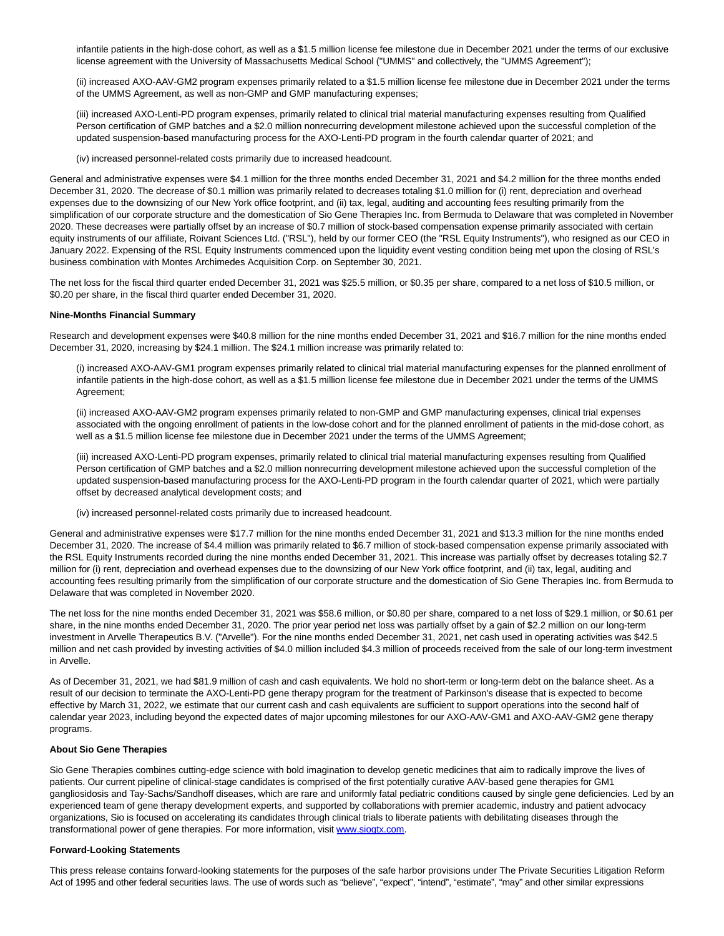infantile patients in the high-dose cohort, as well as a \$1.5 million license fee milestone due in December 2021 under the terms of our exclusive license agreement with the University of Massachusetts Medical School ("UMMS" and collectively, the "UMMS Agreement");

(ii) increased AXO-AAV-GM2 program expenses primarily related to a \$1.5 million license fee milestone due in December 2021 under the terms of the UMMS Agreement, as well as non-GMP and GMP manufacturing expenses;

(iii) increased AXO-Lenti-PD program expenses, primarily related to clinical trial material manufacturing expenses resulting from Qualified Person certification of GMP batches and a \$2.0 million nonrecurring development milestone achieved upon the successful completion of the updated suspension-based manufacturing process for the AXO-Lenti-PD program in the fourth calendar quarter of 2021; and

(iv) increased personnel-related costs primarily due to increased headcount.

General and administrative expenses were \$4.1 million for the three months ended December 31, 2021 and \$4.2 million for the three months ended December 31, 2020. The decrease of \$0.1 million was primarily related to decreases totaling \$1.0 million for (i) rent, depreciation and overhead expenses due to the downsizing of our New York office footprint, and (ii) tax, legal, auditing and accounting fees resulting primarily from the simplification of our corporate structure and the domestication of Sio Gene Therapies Inc. from Bermuda to Delaware that was completed in November 2020. These decreases were partially offset by an increase of \$0.7 million of stock-based compensation expense primarily associated with certain equity instruments of our affiliate, Roivant Sciences Ltd. ("RSL"), held by our former CEO (the "RSL Equity Instruments"), who resigned as our CEO in January 2022. Expensing of the RSL Equity Instruments commenced upon the liquidity event vesting condition being met upon the closing of RSL's business combination with Montes Archimedes Acquisition Corp. on September 30, 2021.

The net loss for the fiscal third quarter ended December 31, 2021 was \$25.5 million, or \$0.35 per share, compared to a net loss of \$10.5 million, or \$0.20 per share, in the fiscal third quarter ended December 31, 2020.

#### **Nine-Months Financial Summary**

Research and development expenses were \$40.8 million for the nine months ended December 31, 2021 and \$16.7 million for the nine months ended December 31, 2020, increasing by \$24.1 million. The \$24.1 million increase was primarily related to:

(i) increased AXO-AAV-GM1 program expenses primarily related to clinical trial material manufacturing expenses for the planned enrollment of infantile patients in the high-dose cohort, as well as a \$1.5 million license fee milestone due in December 2021 under the terms of the UMMS Agreement;

(ii) increased AXO-AAV-GM2 program expenses primarily related to non-GMP and GMP manufacturing expenses, clinical trial expenses associated with the ongoing enrollment of patients in the low-dose cohort and for the planned enrollment of patients in the mid-dose cohort, as well as a \$1.5 million license fee milestone due in December 2021 under the terms of the UMMS Agreement;

(iii) increased AXO-Lenti-PD program expenses, primarily related to clinical trial material manufacturing expenses resulting from Qualified Person certification of GMP batches and a \$2.0 million nonrecurring development milestone achieved upon the successful completion of the updated suspension-based manufacturing process for the AXO-Lenti-PD program in the fourth calendar quarter of 2021, which were partially offset by decreased analytical development costs; and

(iv) increased personnel-related costs primarily due to increased headcount.

General and administrative expenses were \$17.7 million for the nine months ended December 31, 2021 and \$13.3 million for the nine months ended December 31, 2020. The increase of \$4.4 million was primarily related to \$6.7 million of stock-based compensation expense primarily associated with the RSL Equity Instruments recorded during the nine months ended December 31, 2021. This increase was partially offset by decreases totaling \$2.7 million for (i) rent, depreciation and overhead expenses due to the downsizing of our New York office footprint, and (ii) tax, legal, auditing and accounting fees resulting primarily from the simplification of our corporate structure and the domestication of Sio Gene Therapies Inc. from Bermuda to Delaware that was completed in November 2020.

The net loss for the nine months ended December 31, 2021 was \$58.6 million, or \$0.80 per share, compared to a net loss of \$29.1 million, or \$0.61 per share, in the nine months ended December 31, 2020. The prior year period net loss was partially offset by a gain of \$2.2 million on our long-term investment in Arvelle Therapeutics B.V. ("Arvelle"). For the nine months ended December 31, 2021, net cash used in operating activities was \$42.5 million and net cash provided by investing activities of \$4.0 million included \$4.3 million of proceeds received from the sale of our long-term investment in Arvelle.

As of December 31, 2021, we had \$81.9 million of cash and cash equivalents. We hold no short-term or long-term debt on the balance sheet. As a result of our decision to terminate the AXO-Lenti-PD gene therapy program for the treatment of Parkinson's disease that is expected to become effective by March 31, 2022, we estimate that our current cash and cash equivalents are sufficient to support operations into the second half of calendar year 2023, including beyond the expected dates of major upcoming milestones for our AXO-AAV-GM1 and AXO-AAV-GM2 gene therapy programs.

#### **About Sio Gene Therapies**

Sio Gene Therapies combines cutting-edge science with bold imagination to develop genetic medicines that aim to radically improve the lives of patients. Our current pipeline of clinical-stage candidates is comprised of the first potentially curative AAV-based gene therapies for GM1 gangliosidosis and Tay-Sachs/Sandhoff diseases, which are rare and uniformly fatal pediatric conditions caused by single gene deficiencies. Led by an experienced team of gene therapy development experts, and supported by collaborations with premier academic, industry and patient advocacy organizations, Sio is focused on accelerating its candidates through clinical trials to liberate patients with debilitating diseases through the transformational power of gene therapies. For more information, visit [www.siogtx.com.](https://www.globenewswire.com/Tracker?data=qMvJ4ESFF4IxQuAWi4z0CMA9BNoAv-WcdSma5Ej4V4o_7IDiinowAgj6poQAZRSw9X6JxTHiEBHi2GrLMKuDAQ==)

## **Forward-Looking Statements**

This press release contains forward-looking statements for the purposes of the safe harbor provisions under The Private Securities Litigation Reform Act of 1995 and other federal securities laws. The use of words such as "believe", "expect", "intend", "estimate", "may" and other similar expressions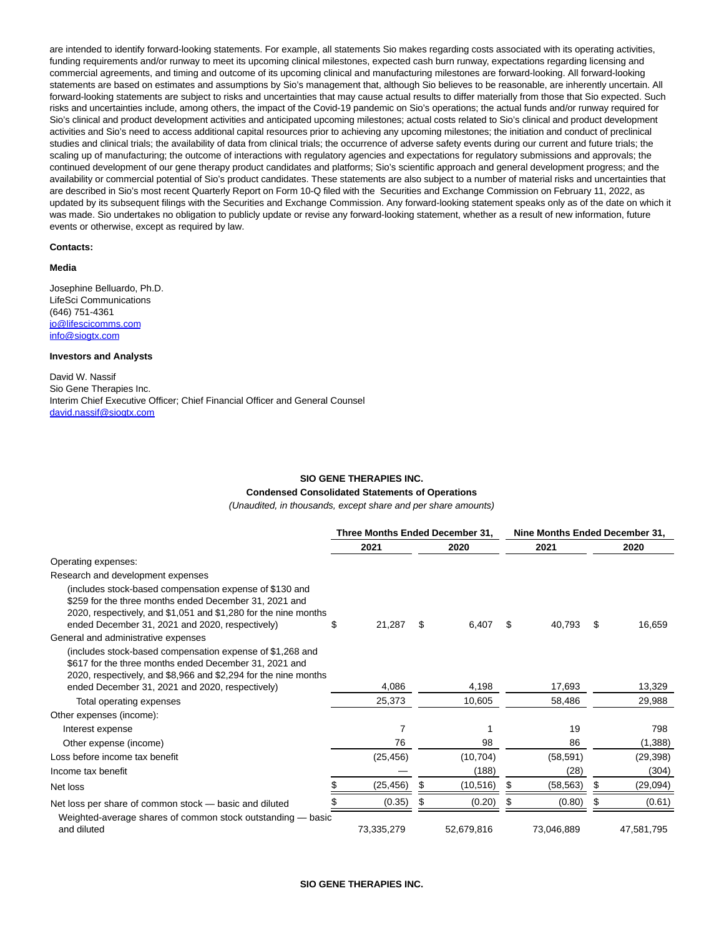are intended to identify forward-looking statements. For example, all statements Sio makes regarding costs associated with its operating activities, funding requirements and/or runway to meet its upcoming clinical milestones, expected cash burn runway, expectations regarding licensing and commercial agreements, and timing and outcome of its upcoming clinical and manufacturing milestones are forward-looking. All forward-looking statements are based on estimates and assumptions by Sio's management that, although Sio believes to be reasonable, are inherently uncertain. All forward-looking statements are subject to risks and uncertainties that may cause actual results to differ materially from those that Sio expected. Such risks and uncertainties include, among others, the impact of the Covid-19 pandemic on Sio's operations; the actual funds and/or runway required for Sio's clinical and product development activities and anticipated upcoming milestones; actual costs related to Sio's clinical and product development activities and Sio's need to access additional capital resources prior to achieving any upcoming milestones; the initiation and conduct of preclinical studies and clinical trials; the availability of data from clinical trials; the occurrence of adverse safety events during our current and future trials; the scaling up of manufacturing; the outcome of interactions with regulatory agencies and expectations for regulatory submissions and approvals; the continued development of our gene therapy product candidates and platforms; Sio's scientific approach and general development progress; and the availability or commercial potential of Sio's product candidates. These statements are also subject to a number of material risks and uncertainties that are described in Sio's most recent Quarterly Report on Form 10-Q filed with the Securities and Exchange Commission on February 11, 2022, as updated by its subsequent filings with the Securities and Exchange Commission. Any forward-looking statement speaks only as of the date on which it was made. Sio undertakes no obligation to publicly update or revise any forward-looking statement, whether as a result of new information, future events or otherwise, except as required by law.

#### **Contacts:**

#### **Media**

Josephine Belluardo, Ph.D. LifeSci Communications (646) 751-4361 [jo@lifescicomms.com](https://www.globenewswire.com/Tracker?data=kvARXyYVt7dunIjnMy84_xl2EsPJXOhbxqm5Nb_WxSFqapymperfjvpwMAQ2eMOuL-YMFZXtGRxDrqh4b_PbD2qjKccUw_c_rPDV5S-enXw=) [info@siogtx.com](https://www.globenewswire.com/Tracker?data=w3K5Luq5vjyeU2pueX1PaxjD9JAdVtAmi1RE0R5m1_tOuhzcWp84y0Zp9mMrt176r4J1-p8BBnzPvvxgHeZ3tw==)

## **Investors and Analysts**

David W. Nassif Sio Gene Therapies Inc. Interim Chief Executive Officer; Chief Financial Officer and General Counsel [david.nassif@siogtx.com](https://www.globenewswire.com/Tracker?data=rM55YoLDAdS6-sjEmO1wlxJnTT2syV0StQNK2ygL1tQ_jnpBgmSrA6UctOPo-6rEq2tMTSJIkNO1xe1OK_uMKi6eYv2ZHQJAQduyPyjyrX0=)

### **SIO GENE THERAPIES INC.**

## **Condensed Consolidated Statements of Operations**

(Unaudited, in thousands, except share and per share amounts)

|                                                                                                                                                                                                                                         |    | Three Months Ended December 31, |    |            |    |            |    | Nine Months Ended December 31, |  |
|-----------------------------------------------------------------------------------------------------------------------------------------------------------------------------------------------------------------------------------------|----|---------------------------------|----|------------|----|------------|----|--------------------------------|--|
|                                                                                                                                                                                                                                         |    | 2021                            |    | 2020       |    | 2021       |    | 2020                           |  |
| Operating expenses:                                                                                                                                                                                                                     |    |                                 |    |            |    |            |    |                                |  |
| Research and development expenses                                                                                                                                                                                                       |    |                                 |    |            |    |            |    |                                |  |
| (includes stock-based compensation expense of \$130 and<br>\$259 for the three months ended December 31, 2021 and<br>2020, respectively, and \$1,051 and \$1,280 for the nine months<br>ended December 31, 2021 and 2020, respectively) | SS | 21,287                          | S  | 6,407      | \$ | 40,793     | \$ | 16,659                         |  |
| General and administrative expenses                                                                                                                                                                                                     |    |                                 |    |            |    |            |    |                                |  |
| (includes stock-based compensation expense of \$1,268 and<br>\$617 for the three months ended December 31, 2021 and<br>2020, respectively, and \$8,966 and \$2,294 for the nine months                                                  |    |                                 |    |            |    |            |    |                                |  |
| ended December 31, 2021 and 2020, respectively)                                                                                                                                                                                         |    | 4,086                           |    | 4,198      |    | 17,693     |    | 13,329                         |  |
| Total operating expenses                                                                                                                                                                                                                |    | 25,373                          |    | 10,605     |    | 58,486     |    | 29,988                         |  |
| Other expenses (income):                                                                                                                                                                                                                |    |                                 |    |            |    |            |    |                                |  |
| Interest expense                                                                                                                                                                                                                        |    | 7                               |    |            |    | 19         |    | 798                            |  |
| Other expense (income)                                                                                                                                                                                                                  |    | 76                              |    | 98         |    | 86         |    | (1,388)                        |  |
| Loss before income tax benefit                                                                                                                                                                                                          |    | (25, 456)                       |    | (10, 704)  |    | (58, 591)  |    | (29, 398)                      |  |
| Income tax benefit                                                                                                                                                                                                                      |    |                                 |    | (188)      |    | (28)       |    | (304)                          |  |
| Net loss                                                                                                                                                                                                                                |    | (25,456)                        | -5 | (10, 516)  | S  | (58, 563)  | S  | (29,094)                       |  |
| Net loss per share of common stock - basic and diluted                                                                                                                                                                                  |    | (0.35)                          |    | (0.20)     |    | (0.80)     |    | (0.61)                         |  |
| Weighted-average shares of common stock outstanding — basic<br>and diluted                                                                                                                                                              |    | 73,335,279                      |    | 52,679,816 |    | 73,046,889 |    | 47,581,795                     |  |